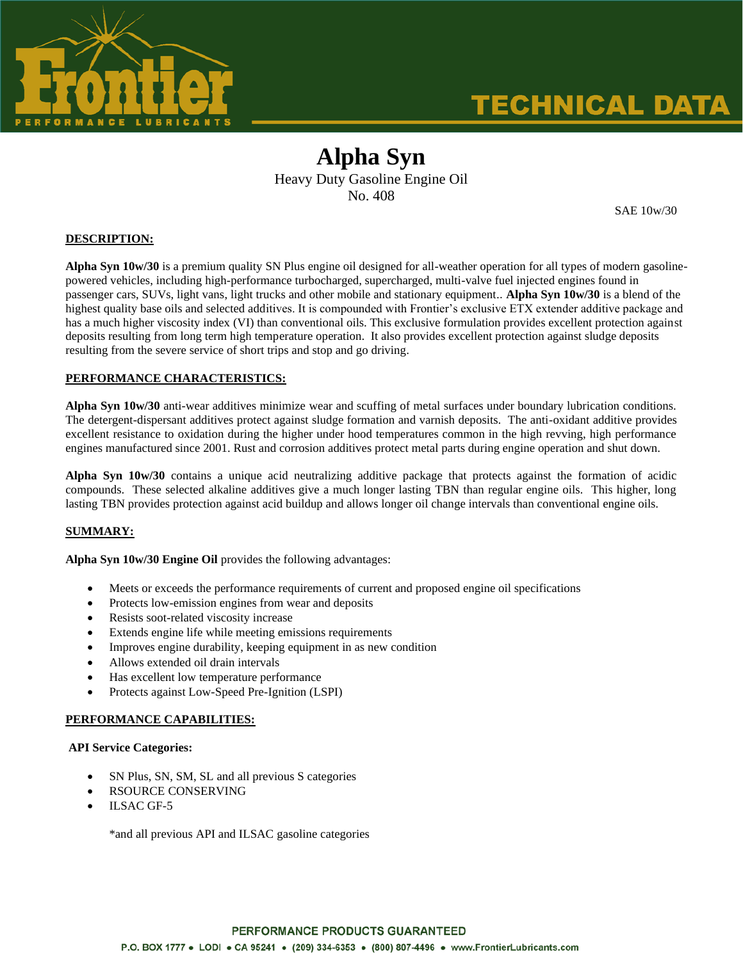

# **TECHNICAL DATA**

# **Alpha Syn**  Heavy Duty Gasoline Engine Oil No. 408

SAE 10w/30

#### **DESCRIPTION:**

**Alpha Syn 10w/30** is a premium quality SN Plus engine oil designed for all-weather operation for all types of modern gasolinepowered vehicles, including high-performance turbocharged, supercharged, multi-valve fuel injected engines found in passenger cars, SUVs, light vans, light trucks and other mobile and stationary equipment.. **Alpha Syn 10w/30** is a blend of the highest quality base oils and selected additives. It is compounded with Frontier's exclusive ETX extender additive package and has a much higher viscosity index (VI) than conventional oils. This exclusive formulation provides excellent protection against deposits resulting from long term high temperature operation. It also provides excellent protection against sludge deposits resulting from the severe service of short trips and stop and go driving.

#### **PERFORMANCE CHARACTERISTICS:**

**Alpha Syn 10w/30** anti-wear additives minimize wear and scuffing of metal surfaces under boundary lubrication conditions. The detergent-dispersant additives protect against sludge formation and varnish deposits. The anti-oxidant additive provides excellent resistance to oxidation during the higher under hood temperatures common in the high revving, high performance engines manufactured since 2001. Rust and corrosion additives protect metal parts during engine operation and shut down.

**Alpha Syn 10w/30** contains a unique acid neutralizing additive package that protects against the formation of acidic compounds. These selected alkaline additives give a much longer lasting TBN than regular engine oils. This higher, long lasting TBN provides protection against acid buildup and allows longer oil change intervals than conventional engine oils.

### **SUMMARY:**

**Alpha Syn 10w/30 Engine Oil** provides the following advantages:

- Meets or exceeds the performance requirements of current and proposed engine oil specifications
- Protects low-emission engines from wear and deposits
- Resists soot-related viscosity increase
- Extends engine life while meeting emissions requirements
- Improves engine durability, keeping equipment in as new condition
- Allows extended oil drain intervals
- Has excellent low temperature performance
- Protects against Low-Speed Pre-Ignition (LSPI)

#### **PERFORMANCE CAPABILITIES:**

#### **API Service Categories:**

- SN Plus, SN, SM, SL and all previous S categories
- RSOURCE CONSERVING
- ILSAC GF-5

\*and all previous API and ILSAC gasoline categories

# PERFORMANCE PRODUCTS GUARANTEED